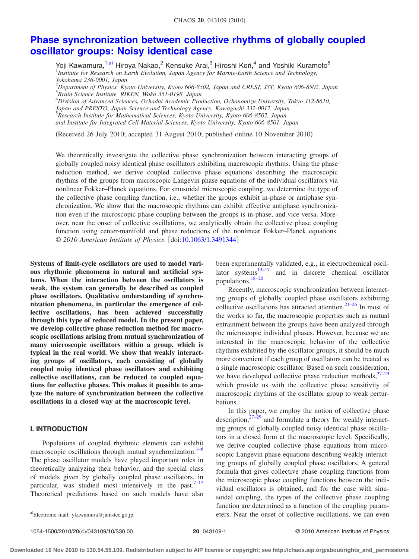# **[Phase synchronization between collective rhythms of globally coupled](http://dx.doi.org/10.1063/1.3491344) [oscillator groups: Noisy identical case](http://dx.doi.org/10.1063/1.3491344)**

Yoji Kawamura,<sup>1[,a](#page-0-0))</sup> Hiroya Nakao,<sup>2</sup> Kensuke Arai,<sup>3</sup> Hiroshi Kori,<sup>4</sup> and Yoshiki Kuramoto<sup>5</sup> <sup>1</sup>Institute for Research on Earth Evolution, Japan Agency for Marine-Earth Science and Technology, *Yokohama 236-0001, Japan*

2 *Department of Physics, Kyoto University, Kyoto 606-8502, Japan and CREST, JST, Kyoto 606-8502, Japan* 3 *Brain Science Institute, RIKEN, Wako 351-0198, Japan*

4 *Division of Advanced Sciences, Ochadai Academic Production, Ochanomizu University, Tokyo 112-8610,*

*Japan and PRESTO, Japan Science and Technology Agency, Kawaguchi 332-0012, Japan* 5 *Research Institute for Mathematical Sciences, Kyoto University, Kyoto 606-8502, Japan*

*and Institute for Integrated Cell-Material Sciences, Kyoto University, Kyoto 606-8501, Japan*

(Received 26 July 2010; accepted 31 August 2010; published online 10 November 2010)

We theoretically investigate the collective phase synchronization between interacting groups of globally coupled noisy identical phase oscillators exhibiting macroscopic rhythms. Using the phase reduction method, we derive coupled collective phase equations describing the macroscopic rhythms of the groups from microscopic Langevin phase equations of the individual oscillators via nonlinear Fokker–Planck equations. For sinusoidal microscopic coupling, we determine the type of the collective phase coupling function, i.e., whether the groups exhibit in-phase or antiphase synchronization. We show that the macroscopic rhythms can exhibit effective antiphase synchronization even if the microscopic phase coupling between the groups is in-phase, and vice versa. Moreover, near the onset of collective oscillations, we analytically obtain the collective phase coupling function using center-manifold and phase reductions of the nonlinear Fokker–Planck equations. © *2010 American Institute of Physics*. doi[:10.1063/1.3491344](http://dx.doi.org/10.1063/1.3491344)

**Systems of limit-cycle oscillators are used to model various rhythmic phenomena in natural and artificial systems. When the interaction between the oscillators is weak, the system can generally be described as coupled phase oscillators. Qualitative understanding of synchronization phenomena, in particular the emergence of collective oscillations, has been achieved successfully through this type of reduced model. In the present paper, we develop collective phase reduction method for macroscopic oscillations arising from mutual synchronization of many microscopic oscillators within a group, which is typical in the real world. We show that weakly interacting groups of oscillators, each consisting of globally coupled noisy identical phase oscillators and exhibiting collective oscillations, can be reduced to coupled equations for collective phases. This makes it possible to analyze the nature of synchronization between the collective oscillations in a closed way at the macroscopic level.**

#### **I. INTRODUCTION**

Populations of coupled rhythmic elements can exhibit macroscopic oscillations through mutual synchronization.<sup>1-[6](#page-9-1)</sup> The phase oscillator models have played important roles in theoretically analyzing their behavior, and the special class of models given by globally coupled phase oscillators, in particular, was studied most intensively in the past. $7-12$ Theoretical predictions based on such models have also

been experimentally validated, e.g., in electrochemical oscillator systems  $13-17$  and in discrete chemical oscillator and in discrete chemical oscillator populations[.18](#page-9-6)[–20](#page-9-7)

Recently, macroscopic synchronization between interacting groups of globally coupled phase oscillators exhibiting collective oscillations has attracted attention.<sup>21–[26](#page-9-9)</sup> In most of the works so far, the macroscopic properties such as mutual entrainment between the groups have been analyzed through the microscopic individual phases. However, because we are interested in the macroscopic behavior of the collective rhythms exhibited by the oscillator groups, it should be much more convenient if each group of oscillators can be treated as a single macroscopic oscillator. Based on such consideration, we have developed collective phase reduction methods, $27-29$ which provide us with the collective phase sensitivity of macroscopic rhythms of the oscillator group to weak perturbations.

In this paper, we employ the notion of collective phase description, $27-29$  $27-29$  and formulate a theory for weakly interacting groups of globally coupled noisy identical phase oscillators in a closed form at the macroscopic level. Specifically, we derive coupled collective phase equations from microscopic Langevin phase equations describing weakly interacting groups of globally coupled phase oscillators. A general formula that gives collective phase coupling functions from the microscopic phase coupling functions between the individual oscillators is obtained, and for the case with sinusoidal coupling, the types of the collective phase coupling function are determined as a function of the coupling parameters. Near the onset of collective oscillations, we can even

<span id="page-0-0"></span>a)Electronic mail: ykawamura@jamstec.go.jp.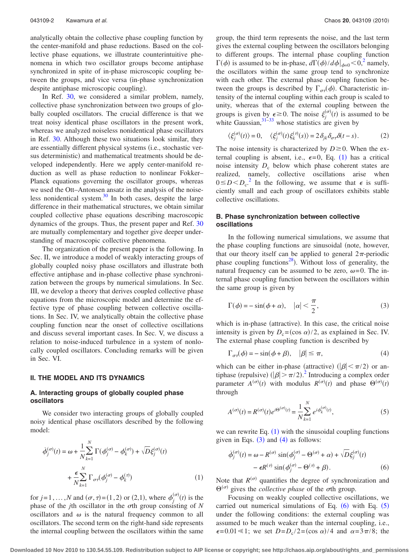analytically obtain the collective phase coupling function by the center-manifold and phase reductions. Based on the collective phase equations, we illustrate counterintuitive phenomena in which two oscillator groups become antiphase synchronized in spite of in-phase microscopic coupling between the groups, and vice versa (in-phase synchronization despite antiphase microscopic coupling).

In Ref. [30,](#page-9-12) we considered a similar problem, namely, collective phase synchronization between two groups of globally coupled oscillators. The crucial difference is that we treat noisy identical phase oscillators in the present work, whereas we analyzed noiseless nonidentical phase oscillators in Ref. [30.](#page-9-12) Although these two situations look similar, they are essentially different physical systems (i.e., stochastic versus deterministic) and mathematical treatments should be developed independently. Here we apply center-manifold reduction as well as phase reduction to nonlinear Fokker– Planck equations governing the oscillator groups, whereas we used the Ott–Antonsen ansatz in the analysis of the noiseless nonidentical system. $30$  In both cases, despite the large difference in their mathematical structures, we obtain similar coupled collective phase equations describing macroscopic dynamics of the groups. Thus, the present paper and Ref. [30](#page-9-12) are mutually complementary and together give deeper understanding of macroscopic collective phenomena.

The organization of the present paper is the following. In Sec. II, we introduce a model of weakly interacting groups of globally coupled noisy phase oscillators and illustrate both effective antiphase and in-phase collective phase synchronization between the groups by numerical simulations. In Sec. III, we develop a theory that derives coupled collective phase equations from the microscopic model and determine the effective type of phase coupling between collective oscillations. In Sec. IV, we analytically obtain the collective phase coupling function near the onset of collective oscillations and discuss several important cases. In Sec. V, we discuss a relation to noise-induced turbulence in a system of nonlocally coupled oscillators. Concluding remarks will be given in Sec. VI.

#### **II. THE MODEL AND ITS DYNAMICS**

## **A. Interacting groups of globally coupled phase oscillators**

We consider two interacting groups of globally coupled noisy identical phase oscillators described by the following model:

<span id="page-1-0"></span>
$$
\dot{\phi}_j^{(\sigma)}(t) = \omega + \frac{1}{N} \sum_{k=1}^N \Gamma(\phi_j^{(\sigma)} - \phi_k^{(\sigma)}) + \sqrt{D} \xi_j^{(\sigma)}(t)
$$

$$
+ \frac{\epsilon}{N} \sum_{k=1}^N \Gamma_{\sigma \tau}(\phi_j^{(\sigma)} - \phi_k^{(\tau)})
$$
(1)

for  $j = 1, ..., N$  and  $(\sigma, \tau) = (1, 2)$  or  $(2, 1)$ , where  $\phi_j$  $t_i^{(\sigma)}(t)$  is the phase of the *j*th oscillator in the  $\sigma$ th group consisting of *N* oscillators and  $\omega$  is the natural frequency common to all oscillators. The second term on the right-hand side represents the internal coupling between the oscillators within the same

group, the third term represents the noise, and the last term gives the external coupling between the oscillators belonging to different groups. The internal phase coupling function  $\Gamma(\phi)$  is assumed to be in-phase,  $d\Gamma(\phi)/d\phi|_{\phi=0} < 0$ ,<sup>2</sup> namely, the oscillators within the same group tend to synchronize with each other. The external phase coupling function between the groups is described by  $\Gamma_{\sigma\tau}(\phi)$ . Characteristic intensity of the internal coupling within each group is scaled to unity, whereas that of the external coupling between the groups is given by  $\epsilon \ge 0$ . The noise  $\xi_j^{(\sigma)}(t)$  is assumed to be white Gaussian,  $31-33$  whose statistics are given by

$$
\langle \xi_j^{(\sigma)}(t) \rangle = 0, \quad \langle \xi_j^{(\sigma)}(t) \xi_k^{(\tau)}(s) \rangle = 2 \delta_{jk} \delta_{\sigma \tau} \delta(t - s). \tag{2}
$$

The noise intensity is characterized by  $D \geq 0$ . When the external coupling is absent, i.e.,  $\epsilon = 0$ , Eq. ([1](#page-1-0)) has a critical noise intensity  $D_c$  below which phase coherent states are realized, namely, collective oscillations arise when  $0 \leq D \leq D_{c}$ <sup>[2](#page-9-13)</sup>. In the following, we assume that  $\epsilon$  is sufficiently small and each group of oscillators exhibits stable collective oscillations.

# **B. Phase synchronization between collective oscillations**

In the following numerical simulations, we assume that the phase coupling functions are sinusoidal (note, however, that our theory itself can be applied to general  $2\pi$ -periodic phase coupling functions<sup>28</sup>. Without loss of generality, the natural frequency can be assumed to be zero,  $\omega = 0$ . The internal phase coupling function between the oscillators within the same group is given by

<span id="page-1-1"></span>
$$
\Gamma(\phi) = -\sin(\phi + \alpha), \quad |\alpha| < \frac{\pi}{2},\tag{3}
$$

which is in-phase (attractive). In this case, the critical noise intensity is given by  $D_c = (\cos \alpha)/2$ , as explained in Sec. IV. The external phase coupling function is described by

<span id="page-1-2"></span>
$$
\Gamma_{\sigma\tau}(\phi) = -\sin(\phi + \beta), \quad |\beta| \le \pi,\tag{4}
$$

which can be either in-phase (attractive) ( $|\beta| < \pi/2$ ) or antiphase (repulsive)  $(|\beta| > \pi/2)^2$  $(|\beta| > \pi/2)^2$  $(|\beta| > \pi/2)^2$  Introducing a complex order parameter  $A^{(\sigma)}(t)$  with modulus  $R^{(\sigma)}(t)$  and phase  $\Theta^{(\sigma)}(t)$ through

<span id="page-1-4"></span>
$$
A^{(\sigma)}(t) = R^{(\sigma)}(t)e^{i\Theta^{(\sigma)}(t)} = \frac{1}{N} \sum_{k=1}^{N} e^{i\phi_k^{(\sigma)}(t)},
$$
\n(5)

we can rewrite Eq.  $(1)$  $(1)$  $(1)$  with the sinusoidal coupling functions given in Eqs.  $(3)$  $(3)$  $(3)$  and  $(4)$  $(4)$  $(4)$  as follows:

<span id="page-1-3"></span>
$$
\dot{\phi}_j^{(\sigma)}(t) = \omega - R^{(\sigma)} \sin(\phi_j^{(\sigma)} - \Theta^{(\sigma)} + \alpha) + \sqrt{D} \xi_j^{(\sigma)}(t)
$$

$$
- \epsilon R^{(\tau)} \sin(\phi_j^{(\sigma)} - \Theta^{(\tau)} + \beta). \tag{6}
$$

Note that  $R^{(\sigma)}$  quantifies the degree of synchronization and  $\Theta^{(\sigma)}$  gives the *collective phase* of the  $\sigma$ th group.

Focusing on weakly coupled collective oscillations, we carried out numerical simulations of Eq.  $(6)$  $(6)$  $(6)$  with Eq.  $(5)$  $(5)$  $(5)$ under the following conditions: the external coupling was assumed to be much weaker than the internal coupling, i.e.,  $\epsilon = 0.01 \ll 1$ ; we set  $D = D_c / 2 = (\cos \alpha) / 4$  and  $\alpha = 3\pi / 8$ ; the

**Downloaded 10 Nov 2010 to 130.54.55.109. Redistribution subject to AIP license or copyright; see http://chaos.aip.org/about/rights\_and\_permissions**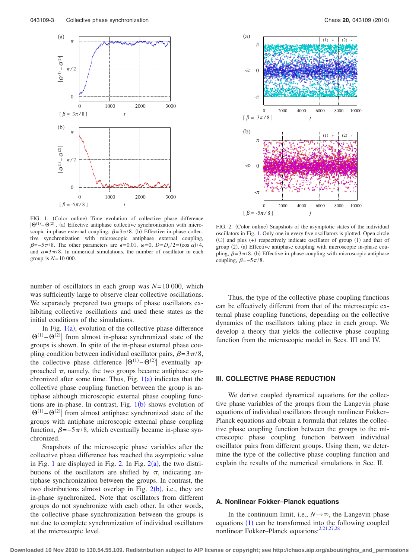<span id="page-2-0"></span>

FIG. 1. (Color online) Time evolution of collective phase difference  $|\Theta^{(1)}-\Theta^{(2)}|$ . (a) Effective antiphase collective synchronization with microscopic in-phase external coupling,  $\beta = 3\pi/8$ . (b) Effective in-phase collective synchronization with microscopic antiphase external coupling,  $\beta = -5\pi/8$ . The other parameters are  $\epsilon = 0.01$ ,  $\omega = 0$ ,  $D = D_c / 2 = (\cos \alpha) / 4$ , and  $\alpha = 3\pi/8$ . In numerical simulations, the number of oscillator in each group is *N*=10 000.

number of oscillators in each group was *N*=10 000, which was sufficiently large to observe clear collective oscillations. We separately prepared two groups of phase oscillators exhibiting collective oscillations and used these states as the initial conditions of the simulations.

In Fig.  $1(a)$  $1(a)$ , evolution of the collective phase difference  $|\Theta^{(1)} - \Theta^{(2)}|$  from almost in-phase synchronized state of the groups is shown. In spite of the in-phase external phase coupling condition between individual oscillator pairs,  $\beta = 3\pi/8$ , the collective phase difference  $|\Theta^{(1)} - \Theta^{(2)}|$  eventually approached  $\pi$ , namely, the two groups became antiphase synchronized after some time. Thus, Fig.  $1(a)$  $1(a)$  indicates that the collective phase coupling function between the group is antiphase although microscopic external phase coupling functions are in-phase. In contrast, Fig.  $1(b)$  $1(b)$  shows evolution of  $|\Theta^{(1)} - \Theta^{(2)}|$  from almost antiphase synchronized state of the groups with antiphase microscopic external phase coupling function,  $\beta = -5\pi/8$ , which eventually became in-phase synchronized.

Snapshots of the microscopic phase variables after the collective phase difference has reached the asymptotic value in Fig. [1](#page-2-0) are displayed in Fig. [2.](#page-2-1) In Fig.  $2(a)$  $2(a)$ , the two distributions of the oscillators are shifted by  $\pi$ , indicating antiphase synchronization between the groups. In contrast, the two distributions almost overlap in Fig.  $2(b)$  $2(b)$ , i.e., they are in-phase synchronized. Note that oscillators from different groups do not synchronize with each other. In other words, the collective phase synchronization between the groups is not due to complete synchronization of individual oscillators at the microscopic level.

<span id="page-2-1"></span>

FIG. 2. (Color online) Snapshots of the asymptotic states of the individual oscillators in Fig. [1.](#page-2-0) Only one in every five oscillators is plotted. Open circle  $(O)$  and plus  $(+)$  respectively indicate oscillator of group  $(1)$  and that of group (2). (a) Effective antiphase coupling with microscopic in-phase coupling,  $\beta = 3\pi/8$ . (b) Effective in-phase coupling with microscopic antiphase coupling,  $\beta = -5\pi/8$ .

Thus, the type of the collective phase coupling functions can be effectively different from that of the microscopic external phase coupling functions, depending on the collective dynamics of the oscillators taking place in each group. We develop a theory that yields the collective phase coupling function from the microscopic model in Secs. III and IV.

#### **III. COLLECTIVE PHASE REDUCTION**

We derive coupled dynamical equations for the collective phase variables of the groups from the Langevin phase equations of individual oscillators through nonlinear Fokker– Planck equations and obtain a formula that relates the collective phase coupling function between the groups to the microscopic phase coupling function between individual oscillator pairs from different groups. Using them, we determine the type of the collective phase coupling function and explain the results of the numerical simulations in Sec. II.

## **A. Nonlinear Fokker–Planck equations**

In the continuum limit, i.e.,  $N \rightarrow \infty$ , the Langevin phase equations ([1](#page-1-0)) can be transformed into the following coupled nonlinear Fokker–Planck equations: $2,21,27,28$  $2,21,27,28$  $2,21,27,28$  $2,21,27,28$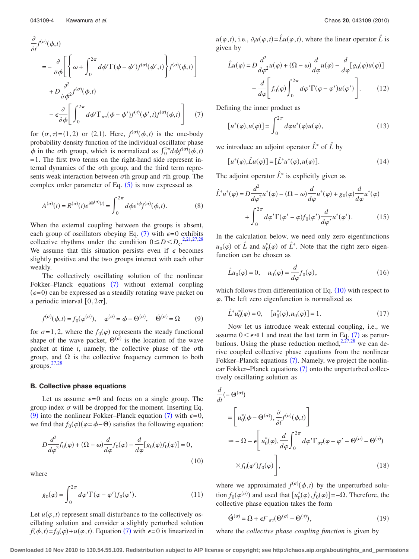<span id="page-3-0"></span>
$$
\frac{\partial}{\partial t} f^{(\sigma)}(\phi, t)
$$
\n
$$
= -\frac{\partial}{\partial \phi} \left[ \left\{ \omega + \int_0^{2\pi} d\phi' \Gamma(\phi - \phi') f^{(\sigma)}(\phi', t) \right\} f^{(\sigma)}(\phi, t) \right]
$$
\n
$$
+ D \frac{\partial^2}{\partial \phi^2} f^{(\sigma)}(\phi, t)
$$
\n
$$
- \epsilon \frac{\partial}{\partial \phi} \left[ \int_0^{2\pi} d\phi' \Gamma_{\sigma \tau}(\phi - \phi') f^{(\tau)}(\phi', t) f^{(\sigma)}(\phi, t) \right] \tag{7}
$$

for  $(\sigma, \tau) = (1, 2)$  or  $(2, 1)$ . Here,  $f^{(\sigma)}(\phi, t)$  is the one-body probability density function of the individual oscillator phase  $\phi$  in the *o*th group, which is normalized as  $\int_0^{2\pi} d\phi f^{(\sigma)}(\phi, t)$  $=1$ . The first two terms on the right-hand side represent internal dynamics of the  $\sigma$ th group, and the third term represents weak interaction between  $\sigma$ th group and  $\tau$ th group. The complex order parameter of Eq.  $(5)$  $(5)$  $(5)$  is now expressed as

$$
A^{(\sigma)}(t) = R^{(\sigma)}(t)e^{i\Theta^{(\sigma)}(t)} = \int_0^{2\pi} d\phi e^{i\phi} f^{(\sigma)}(\phi, t).
$$
 (8)

When the external coupling between the groups is absent, each group of oscillators obeying Eq. ([7](#page-3-0)) with  $\epsilon = 0$  exhibits collective rhythms under the condition  $0 \leq D \leq D_{\rm c}$ .<sup>[2](#page-9-13)[,21,](#page-9-8)[27](#page-9-10)[,28](#page-9-16)</sup> We assume that this situation persists even if  $\epsilon$  becomes slightly positive and the two groups interact with each other weakly.

The collectively oscillating solution of the nonlinear Fokker–Planck equations ([7](#page-3-0)) without external coupling  $(\epsilon = 0)$  can be expressed as a steadily rotating wave packet on a periodic interval  $[0, 2\pi]$ ,

<span id="page-3-1"></span>
$$
f^{(\sigma)}(\phi, t) = f_0(\varphi^{(\sigma)}), \quad \varphi^{(\sigma)} = \phi - \Theta^{(\sigma)}, \quad \dot{\Theta}^{(\sigma)} = \Omega \tag{9}
$$

for  $\sigma = 1, 2$ , where the  $f_0(\varphi)$  represents the steady functional shape of the wave packet,  $\Theta^{(\sigma)}$  is the location of the wave packet at time  $t$ , namely, the collective phase of the  $\sigma$ th group, and  $\Omega$  is the collective frequency common to both groups.<sup>[27,](#page-9-10)[28](#page-9-16)</sup>

#### **B. Collective phase equations**

Let us assume  $\epsilon = 0$  and focus on a single group. The group index  $\sigma$  will be dropped for the moment. Inserting Eq. ([9](#page-3-1)) into the nonlinear Fokker–Planck equation ([7](#page-3-0)) with  $\epsilon = 0$ , we find that  $f_0(\varphi)(\varphi = \varphi - \Theta)$  satisfies the following equation:

<span id="page-3-2"></span>
$$
D\frac{d^2}{d\varphi^2}f_0(\varphi) + (\Omega - \omega)\frac{d}{d\varphi}f_0(\varphi) - \frac{d}{d\varphi}[g_0(\varphi)f_0(\varphi)] = 0,
$$
\n(10)

where

$$
g_0(\varphi) = \int_0^{2\pi} d\varphi' \Gamma(\varphi - \varphi') f_0(\varphi'). \tag{11}
$$

Let  $u(\varphi, t)$  represent small disturbance to the collectively oscillating solution and consider a slightly perturbed solution  $f(\phi, t) = f_0(\phi) + u(\phi, t)$ . Equation ([7](#page-3-0)) with  $\epsilon = 0$  is linearized in

 $u(\varphi, t)$ , i.e.,  $\partial_t u(\varphi, t) = \hat{L}u(\varphi, t)$ , where the linear operator  $\hat{L}$  is given by

$$
\hat{L}u(\varphi) = D \frac{d^2}{d\varphi^2} u(\varphi) + (\Omega - \omega) \frac{d}{d\varphi} u(\varphi) - \frac{d}{d\varphi} [g_0(\varphi)u(\varphi)]
$$

$$
- \frac{d}{d\varphi} \bigg[ f_0(\varphi) \int_0^{2\pi} d\varphi' \Gamma(\varphi - \varphi') u(\varphi') \bigg]. \tag{12}
$$

Defining the inner product as

$$
[u^*(\varphi), u(\varphi)] = \int_0^{2\pi} d\varphi u^*(\varphi) u(\varphi), \qquad (13)
$$

we introduce an adjoint operator  $\hat{L}^*$  of  $\hat{L}$  by

$$
[u^*(\varphi), \hat{L}u(\varphi)] = [\hat{L}^*u^*(\varphi), u(\varphi)].
$$
\n(14)

The adjoint operator  $\hat{L}^*$  is explicitly given as

$$
\hat{L}^* u^*(\varphi) = D \frac{d^2}{d\varphi^2} u^*(\varphi) - (\Omega - \omega) \frac{d}{d\varphi} u^*(\varphi) + g_0(\varphi) \frac{d}{d\varphi} u^*(\varphi)
$$

$$
+ \int_0^{2\pi} d\varphi' \Gamma(\varphi' - \varphi) f_0(\varphi') \frac{d}{d\varphi'} u^*(\varphi'). \tag{15}
$$

In the calculation below, we need only zero eigenfunctions  $u_0(\varphi)$  of  $\hat{L}$  and  $u_0^*(\varphi)$  of  $\hat{L}^*$ . Note that the right zero eigenfunction can be chosen as

$$
\hat{L}u_0(\varphi) = 0, \quad u_0(\varphi) = \frac{d}{d\varphi}f_0(\varphi),\tag{16}
$$

which follows from differentiation of Eq.  $(10)$  $(10)$  $(10)$  with respect to  $\varphi$ . The left zero eigenfunction is normalized as

$$
\hat{L}^* u_0^*(\varphi) = 0, \quad [u_0^*(\varphi), u_0(\varphi)] = 1.
$$
\n(17)

Now let us introduce weak external coupling, i.e., we assume  $0 < \epsilon \ll 1$  and treat the last term in Eq. ([7](#page-3-0)) as perturbations. Using the phase reduction method,  $2.27,28$  $2.27,28$  $2.27,28$  we can derive coupled collective phase equations from the nonlinear Fokker-Planck equations ([7](#page-3-0)). Namely, we project the nonlin-ear Fokker–Planck equations ([7](#page-3-0)) onto the unperturbed collectively oscillating solution as

$$
\frac{d}{dt}(-\Theta^{(\sigma)})
$$
\n
$$
= \left[ u_0^*(\phi - \Theta^{(\sigma)}), \frac{\partial}{\partial t} f^{(\sigma)}(\phi, t) \right]
$$
\n
$$
\approx -\Omega - \epsilon \left[ u_0^*(\phi), \frac{d}{d\phi} \int_0^{2\pi} d\phi' \Gamma_{\sigma\tau}(\phi - \phi' - \Theta^{(\sigma)} - \Theta^{(\tau)})
$$
\n
$$
\times f_0(\phi') f_0(\phi) \right],
$$
\n(18)

where we approximated  $f^{(\sigma)}(\phi, t)$  by the unperturbed solution  $f_0(\varphi^{(\sigma)})$  and used that  $\left[ u_0^*(\varphi), \dot{f}_0(\varphi) \right] = -\Omega$ . Therefore, the collective phase equation takes the form

<span id="page-3-3"></span>
$$
\dot{\Theta}^{(\sigma)} = \Omega + \epsilon F_{\sigma\tau}(\Theta^{(\sigma)} - \Theta^{(\tau)}),\tag{19}
$$

where the *collective phase coupling function* is given by

**Downloaded 10 Nov 2010 to 130.54.55.109. Redistribution subject to AIP license or copyright; see http://chaos.aip.org/about/rights\_and\_permissions**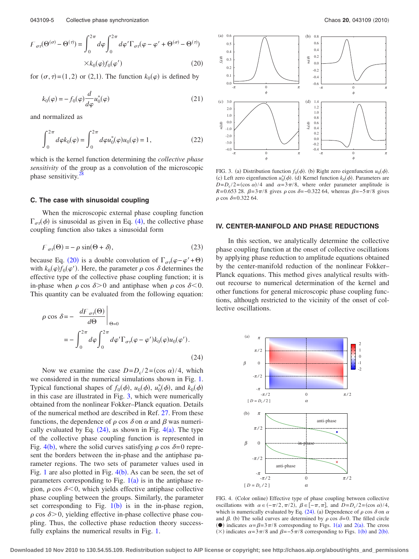<span id="page-4-0"></span>
$$
F_{\sigma\tau}(\Theta^{(\sigma)} - \Theta^{(\tau)}) = \int_0^{2\pi} d\varphi \int_0^{2\pi} d\varphi' \Gamma_{\sigma\tau}(\varphi - \varphi' + \Theta^{(\sigma)} - \Theta^{(\tau)})
$$

$$
\times k_0(\varphi) f_0(\varphi')
$$
(20)

for  $(\sigma, \tau) = (1, 2)$  or  $(2, 1)$ . The function  $k_0(\varphi)$  is defined by

$$
k_0(\varphi) = -f_0(\varphi) \frac{d}{d\varphi} u_0^*(\varphi)
$$
 (21)

and normalized as

$$
\int_0^{2\pi} d\varphi k_0(\varphi) = \int_0^{2\pi} d\varphi u_0^*(\varphi) u_0(\varphi) = 1, \qquad (22)
$$

which is the kernel function determining the *collective phase sensitivity* of the group as a convolution of the microscopic phase sensitivity.<sup>2</sup>

### **C. The case with sinusoidal coupling**

When the microscopic external phase coupling function  $\Gamma_{\sigma\tau}(\phi)$  is sinusoidal as given in Eq. ([4](#page-1-2)), the collective phase coupling function also takes a sinusoidal form

$$
F_{\sigma\tau}(\Theta) = -\rho \sin(\Theta + \delta),\tag{23}
$$

because Eq. ([20](#page-4-0)) is a double convolution of  $\Gamma_{\sigma\tau}(\varphi - \varphi' + \Theta)$ with  $k_0(\varphi) f_0(\varphi')$ . Here, the parameter  $\rho$  cos  $\delta$  determines the effective type of the collective phase coupling function; it is in-phase when  $\rho \cos \delta > 0$  and antiphase when  $\rho \cos \delta < 0$ . This quantity can be evaluated from the following equation:

<span id="page-4-2"></span>
$$
\rho \cos \delta = - \left. \frac{dF_{\sigma\tau}(\Theta)}{d\Theta} \right|_{\Theta = 0}
$$
  
= 
$$
- \int_0^{2\pi} d\varphi \int_0^{2\pi} d\varphi' \Gamma_{\sigma\tau}(\varphi - \varphi') k_0(\varphi) u_0(\varphi').
$$
 (24)

Now we examine the case  $D = D_c / 2 = (\cos \alpha) / 4$ , which we considered in the numerical simulations shown in Fig. [1.](#page-2-0) Typical functional shapes of  $f_0(\phi)$ ,  $u_0(\phi)$ ,  $u_0^*(\phi)$ , and  $k_0(\phi)$ in this case are illustrated in Fig. [3,](#page-4-1) which were numerically obtained from the nonlinear Fokker–Planck equation. Details of the numerical method are described in Ref. [27.](#page-9-10) From these functions, the dependence of  $\rho$  cos  $\delta$  on  $\alpha$  and  $\beta$  was numerically evaluated by Eq.  $(24)$  $(24)$  $(24)$ , as shown in Fig.  $4(a)$  $4(a)$ . The type of the collective phase coupling function is represented in Fig. [4](#page-4-3)(b), where the solid curves satisfying  $\rho \cos \delta = 0$  represent the borders between the in-phase and the antiphase parameter regions. The two sets of parameter values used in Fig. [1](#page-2-0) are also plotted in Fig.  $4(b)$  $4(b)$ . As can be seen, the set of parameters corresponding to Fig.  $1(a)$  $1(a)$  is in the antiphase region,  $\rho$  cos  $\delta$ <0, which yields effective antiphase collective phase coupling between the groups. Similarly, the parameter set corresponding to Fig.  $1(b)$  $1(b)$  is in the in-phase region,  $\rho$  cos  $\delta$  > 0, yielding effective in-phase collective phase coupling. Thus, the collective phase reduction theory successfully explains the numerical results in Fig. [1.](#page-2-0)

<span id="page-4-1"></span>

FIG. 3. (a) Distribution function  $f_0(\phi)$ . (b) Right zero eigenfunction  $u_0(\phi)$ . (c) Left zero eigenfunction  $u_0^*(\phi)$ . (d) Kernel function  $k_0(\phi)$ . Parameters are  $D = D_c / 2 = (\cos \alpha) / 4$  and  $\alpha = 3\pi / 8$ , where order parameter amplitude is *R*=0.653 28.  $\beta = 3\pi/8$  gives  $\rho \cos \delta = -0.322$  64, whereas  $\beta = -5\pi/8$  gives  $\rho \cos \delta = 0.32264$ .

#### **IV. CENTER-MANIFOLD AND PHASE REDUCTIONS**

In this section, we analytically determine the collective phase coupling function at the onset of collective oscillations by applying phase reduction to amplitude equations obtained by the center-manifold reduction of the nonlinear Fokker– Planck equations. This method gives analytical results without recourse to numerical determination of the kernel and other functions for general microscopic phase coupling functions, although restricted to the vicinity of the onset of collective oscillations.

<span id="page-4-3"></span>

FIG. 4. (Color online) Effective type of phase coupling between collective oscillations with  $\alpha \in (-\pi/2, \pi/2)$ ,  $\beta \in [-\pi, \pi]$ , and  $D = D_c/2 = (\cos \alpha)/4$ , which is numerically evaluated by Eq. ([24](#page-4-2)). (a) Dependence of  $\rho$  cos  $\delta$  on  $\alpha$ and  $\beta$ . (b) The solid curves are determined by  $\rho$  cos  $\delta = 0$ . The filled circle (•) indicates  $\alpha = \beta = 3\pi/8$  corresponding to Figs. [1](#page-2-0)(a) and [2](#page-2-1)(a). The cross ( $\times$ ) indicates  $\alpha = 3\pi/8$  and  $\beta = -5\pi/8$  corresponding to Figs. [1](#page-2-0)(b) and [2](#page-2-1)(b).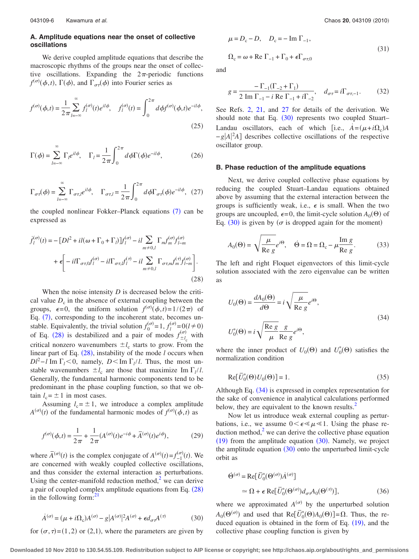## **A. Amplitude equations near the onset of collective oscillations**

We derive coupled amplitude equations that describe the macroscopic rhythms of the groups near the onset of collective oscillations. Expanding the  $2\pi$ -periodic functions  $f^{(\sigma)}(\phi,t)$ ,  $\Gamma(\phi)$ , and  $\Gamma_{\sigma\tau}(\phi)$  into Fourier series as

$$
f^{(\sigma)}(\phi, t) = \frac{1}{2\pi} \sum_{l=-\infty}^{\infty} f_l^{(\sigma)}(t) e^{il\phi}, \quad f_l^{(\sigma)}(t) = \int_0^{2\pi} d\phi f^{(\sigma)}(\phi, t) e^{-il\phi},
$$
\n(25)

$$
\Gamma(\phi) = \sum_{l=-\infty}^{\infty} \Gamma_l e^{il\phi}, \quad \Gamma_l = \frac{1}{2\pi} \int_0^{2\pi} d\phi \Gamma(\phi) e^{-il\phi}, \tag{26}
$$

$$
\Gamma_{\sigma\tau}(\phi) = \sum_{l=-\infty}^{\infty} \Gamma_{\sigma\tau,l} e^{il\phi}, \quad \Gamma_{\sigma\tau,l} = \frac{1}{2\pi} \int_{0}^{2\pi} d\phi \Gamma_{\sigma\tau}(\phi) e^{-il\phi}, \tag{27}
$$

the coupled nonlinear Fokker–Planck equations ([7](#page-3-0)) can be expressed as

<span id="page-5-0"></span>
$$
\dot{f}_l^{(\sigma)}(t) = -[DI^2 + il(\omega + \Gamma_0 + \Gamma_l)]f_l^{(\sigma)} - il \sum_{m \neq 0,l} \Gamma_m f_m^{(\sigma)} f_{l-m}^{(\sigma)}
$$

$$
+ \epsilon \left[ -il \Gamma_{\sigma \tau, 0} f_l^{(\sigma)} - il \Gamma_{\sigma \tau, l} f_l^{(\tau)} - il \sum_{m \neq 0,l} \Gamma_{\sigma \tau, m} f_m^{(\tau)} f_{l-m}^{(\sigma)} \right].
$$
\n(28)

When the noise intensity *D* is decreased below the critical value  $D_c$  in the absence of external coupling between the groups,  $\epsilon = 0$ , the uniform solution  $f^{(\sigma)}(\phi, t) = 1/(2\pi)$  of Eq. ([7](#page-3-0)), corresponding to the incoherent state, becomes unstable. Equivalently, the trivial solution  $f_0^{(\sigma)} = 1$ ,  $f_l^{(\sigma)} = 0$  ( $l \neq 0$ ) of Eq. ([28](#page-5-0)) is destabilized and a pair of modes  $f_{\pm l_c}^{(\sigma)}$  $_{+l}^{(\sigma)}$  with critical nonzero wavenumbers  $\pm l_c$  starts to grow. From the linear part of Eq.  $(28)$  $(28)$  $(28)$ , instability of the mode *l* occurs when  $Dl^2$ −*l* Im  $\Gamma_l$  < 0, namely, *D* < Im  $\Gamma_l$ /*l*. Thus, the most unstable wavenumbers  $\pm l_c$  are those that maximize Im  $\Gamma_l / l$ . Generally, the fundamental harmonic components tend to be predominant in the phase coupling function, so that we obtain  $l_c = \pm 1$  in most cases.

Assuming  $l_c = \pm 1$ , we introduce a complex amplitude  $A^{(\sigma)}(t)$  of the fundamental harmonic modes of  $f^{(\sigma)}(\phi, t)$  as

$$
f^{(\sigma)}(\phi, t) = \frac{1}{2\pi} + \frac{1}{2\pi} (A^{(\sigma)}(t)e^{-i\phi} + \bar{A}^{(\sigma)}(t)e^{i\phi}),
$$
 (29)

where  $\overline{A}^{(\sigma)}(t)$  is the complex conjugate of  $A^{(\sigma)}(t) = f_{-1}^{(\sigma)}(t)$ . We are concerned with weakly coupled collective oscillations, and thus consider the external interaction as perturbations. Using the center-manifold reduction method, $\lambda$  we can derive a pair of coupled complex amplitude equations from Eq. ([28](#page-5-0)) in the following form: $<sup>2</sup>$ </sup>

<span id="page-5-1"></span>
$$
\dot{A}^{(\sigma)} = (\mu + i\Omega_c)A^{(\sigma)} - g|A^{(\sigma)}|^2 A^{(\sigma)} + \epsilon d_{\sigma\tau}A^{(\tau)}
$$
(30)

for  $(\sigma, \tau)$ =(1,2) or (2,1), where the parameters are given by

<span id="page-5-3"></span>
$$
\mu = D_{\rm c} - D, \quad D_{\rm c} = -\operatorname{Im} \Gamma_{-1},
$$
  

$$
\Omega_{\rm c} = \omega + \operatorname{Re} \Gamma_{-1} + \Gamma_0 + \epsilon \Gamma_{\sigma \tau, 0}
$$
 (31)

and

$$
g = \frac{-\Gamma_{-1}(\Gamma_{-2} + \Gamma_1)}{2 \text{ Im }\Gamma_{-1} - i \text{ Re }\Gamma_{-1} + i\Gamma_{-2}}, \quad d_{\sigma\tau} = i\Gamma_{\sigma\tau, -1}.
$$
 (32)

See Refs. [2,](#page-9-13) [21,](#page-9-8) and [27](#page-9-10) for details of the derivation. We should note that Eq.  $(30)$  $(30)$  $(30)$  represents two coupled Stuart– Landau oscillators, each of which [i.e.,  $\dot{A} = (\mu + i\Omega_c)A$  $-g|A|^2A$  describes collective oscillations of the respective oscillator group.

#### **B. Phase reduction of the amplitude equations**

Next, we derive coupled collective phase equations by reducing the coupled Stuart–Landau equations obtained above by assuming that the external interaction between the groups is sufficiently weak, i.e.,  $\epsilon$  is small. When the two groups are uncoupled,  $\epsilon = 0$ , the limit-cycle solution  $A_0(\Theta)$  of Eq. ([30](#page-5-1)) is given by ( $\sigma$  is dropped again for the moment)

<span id="page-5-4"></span>
$$
A_0(\Theta) = \sqrt{\frac{\mu}{\text{Re }g}} e^{i\Theta}, \quad \dot{\Theta} = \Omega = \Omega_c - \mu \frac{\text{Im }g}{\text{Re }g}.
$$
 (33)

The left and right Floquet eigenvectors of this limit-cycle solution associated with the zero eigenvalue can be written as

<span id="page-5-2"></span>
$$
U_0(\Theta) = \frac{dA_0(\Theta)}{d\Theta} = i\sqrt{\frac{\mu}{\text{Re }g}}e^{i\Theta},
$$
  

$$
U_0^*(\Theta) = i\sqrt{\frac{\text{Re }g}{\mu}}\frac{g}{\text{Re }g}e^{i\Theta},
$$
 (34)

where the inner product of  $U_0(\Theta)$  and  $U_0^*(\Theta)$  satisfies the normalization condition

$$
\operatorname{Re}[\bar{U}_0^*(\Theta)U_0(\Theta)] = 1. \tag{35}
$$

Although Eq. ([34](#page-5-2)) is expressed in complex representation for the sake of convenience in analytical calculations performed below, they are equivalent to the known results.<sup>2</sup>

Now let us introduce weak external coupling as perturbations, i.e., we assume  $0 < \epsilon \ll \mu \ll 1$ . Using the phase reduction method, $\frac{2}{x}$  we can derive the collective phase equation  $(19)$  $(19)$  $(19)$  from the amplitude equation  $(30)$  $(30)$  $(30)$ . Namely, we project the amplitude equation  $(30)$  $(30)$  $(30)$  onto the unperturbed limit-cycle orbit as

$$
\dot{\Theta}^{(\sigma)} = \text{Re}[\bar{U}_0^*(\Theta^{(\sigma)}) \dot{A}^{(\sigma)}]
$$
  
\n
$$
\simeq \Omega + \epsilon \text{ Re}[\bar{U}_0^*(\Theta^{(\sigma)}) d_{\sigma} A_0(\Theta^{(\tau)})],
$$
\n(36)

where we approximated  $A^{(\sigma)}$  by the unperturbed solution  $A_0(\Theta^{(\sigma)})$  and used that  $Re[\bar{U}_0^*(\Theta)A_0(\Theta)] = \Omega$ . Thus, the reduced equation is obtained in the form of Eq.  $(19)$  $(19)$  $(19)$ , and the collective phase coupling function is given by

**Downloaded 10 Nov 2010 to 130.54.55.109. Redistribution subject to AIP license or copyright; see http://chaos.aip.org/about/rights\_and\_permissions**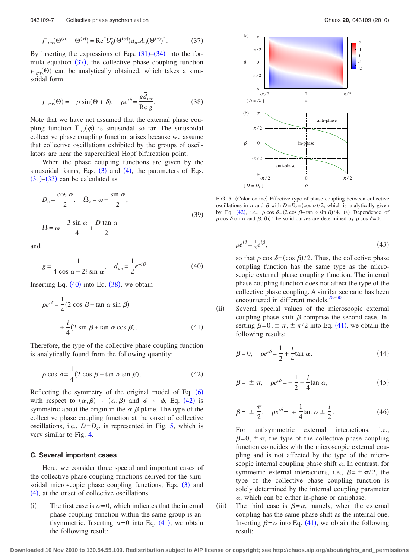<span id="page-6-0"></span>
$$
F_{\sigma\tau}(\Theta^{(\sigma)} - \Theta^{(\tau)}) = \text{Re}[\bar{U}_0^*(\Theta^{(\sigma)})d_{\sigma\tau}A_0(\Theta^{(\tau)})].
$$
 (37)

By inserting the expressions of Eqs.  $(31)$  $(31)$  $(31)$ – $(34)$  $(34)$  $(34)$  into the formula equation  $(37)$  $(37)$  $(37)$ , the collective phase coupling function  $F_{\sigma\tau}(\Theta)$  can be analytically obtained, which takes a sinusoidal form

<span id="page-6-2"></span>
$$
F_{\sigma\tau}(\Theta) = -\rho \sin(\Theta + \delta), \quad \rho e^{i\delta} = \frac{g\bar{d}_{\sigma\tau}}{\text{Re } g}.
$$
 (38)

Note that we have not assumed that the external phase coupling function  $\Gamma_{\sigma\tau}(\phi)$  is sinusoidal so far. The sinusoidal collective phase coupling function arises because we assume that collective oscillations exhibited by the groups of oscillators are near the supercritical Hopf bifurcation point.

When the phase coupling functions are given by the sinusoidal forms, Eqs.  $(3)$  $(3)$  $(3)$  and  $(4)$  $(4)$  $(4)$ , the parameters of Eqs.  $(31)$  $(31)$  $(31)$ – $(33)$  $(33)$  $(33)$  can be calculated as

$$
D_{c} = \frac{\cos \alpha}{2}, \quad \Omega_{c} = \omega - \frac{\sin \alpha}{2},
$$
  

$$
\Omega = \omega - \frac{3 \sin \alpha}{4} + \frac{D \tan \alpha}{2}
$$
 (39)

<span id="page-6-1"></span>and

$$
g = \frac{1}{4 \cos \alpha - 2i \sin \alpha}, \quad d_{\sigma\tau} = \frac{1}{2} e^{-i\beta}.
$$
 (40)

<span id="page-6-5"></span>Inserting Eq.  $(40)$  $(40)$  $(40)$  into Eq.  $(38)$  $(38)$  $(38)$ , we obtain

$$
\rho e^{i\delta} = \frac{1}{4} (2 \cos \beta - \tan \alpha \sin \beta)
$$
  
+  $\frac{i}{4} (2 \sin \beta + \tan \alpha \cos \beta).$  (41)

Therefore, the type of the collective phase coupling function is analytically found from the following quantity:

<span id="page-6-3"></span>
$$
\rho \cos \delta = \frac{1}{4} (2 \cos \beta - \tan \alpha \sin \beta). \tag{42}
$$

Reflecting the symmetry of the original model of Eq.  $(6)$  $(6)$  $(6)$ with respect to  $(\alpha, \beta) \rightarrow -(\alpha, \beta)$  and  $\phi \rightarrow -\phi$ , Eq. ([42](#page-6-3)) is symmetric about the origin in the  $\alpha$ - $\beta$  plane. The type of the collective phase coupling function at the onset of collective oscillations, i.e.,  $D=D_c$ , is represented in Fig. [5,](#page-6-4) which is very similar to Fig. [4.](#page-4-3)

#### **C. Several important cases**

Here, we consider three special and important cases of the collective phase coupling functions derived for the sinu-soidal microscopic phase coupling functions, Eqs. ([3](#page-1-1)) and ([4](#page-1-2)), at the onset of collective oscillations.

 $(i)$ The first case is  $\alpha$ =0, which indicates that the internal phase coupling function within the same group is antisymmetric. Inserting  $\alpha = 0$  into Eq. ([41](#page-6-5)), we obtain the following result:

<span id="page-6-4"></span>

FIG. 5. (Color online) Effective type of phase coupling between collective oscillations in  $\alpha$  and  $\beta$  with  $D = D_c = (\cos \alpha)/2$ , which is analytically given by Eq. ([42](#page-6-3)), i.e.,  $\rho \cos \delta = (2 \cos \beta - \tan \alpha \sin \beta)/4$ . (a) Dependence of  $\rho$  cos  $\delta$  on  $\alpha$  and  $\beta$ . (b) The solid curves are determined by  $\rho$  cos  $\delta = 0$ .

$$
\rho e^{i\delta} = \frac{1}{2} e^{i\beta},\tag{43}
$$

so that  $\rho \cos \delta = (\cos \beta)/2$ . Thus, the collective phase coupling function has the same type as the microscopic external phase coupling function. The internal phase coupling function does not affect the type of the collective phase coupling. A similar scenario has been encountered in different models. $28-30$ 

 $(ii)$ Several special values of the microscopic external coupling phase shift  $\beta$  comprise the second case. Inserting  $\beta = 0, \pm \pi, \pm \pi/2$  into Eq. ([41](#page-6-5)), we obtain the following results:

$$
\beta = 0, \quad \rho e^{i\delta} = \frac{1}{2} + \frac{i}{4} \tan \alpha, \tag{44}
$$

$$
\beta = \pm \pi, \quad \rho e^{i\delta} = -\frac{1}{2} - \frac{i}{4} \tan \alpha, \tag{45}
$$

$$
\beta = \pm \frac{\pi}{2}, \quad \rho e^{i\delta} = \mp \frac{1}{4} \tan \alpha \pm \frac{i}{2}.
$$
 (46)

For antisymmetric external interactions, i.e.,  $\beta=0, \pm \pi$ , the type of the collective phase coupling function coincides with the microscopic external coupling and is not affected by the type of the microscopic internal coupling phase shift  $\alpha$ . In contrast, for symmetric external interactions, i.e.,  $\beta = \pm \pi/2$ , the type of the collective phase coupling function is solely determined by the internal coupling parameter  $\alpha$ , which can be either in-phase or antiphase.

 $(iii)$ The third case is  $\beta = \alpha$ , namely, when the external coupling has the same phase shift as the internal one. Inserting  $\beta = \alpha$  into Eq. ([41](#page-6-5)), we obtain the following result: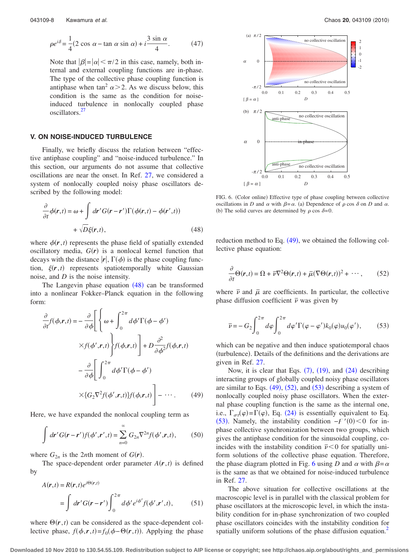$$
\rho e^{i\delta} = \frac{1}{4} (2 \cos \alpha - \tan \alpha \sin \alpha) + i \frac{3 \sin \alpha}{4}.
$$
 (47)

Note that  $|\beta|=|\alpha|<\pi/2$  in this case, namely, both internal and external coupling functions are in-phase. The type of the collective phase coupling function is antiphase when tan<sup>2</sup>  $\alpha$  > 2. As we discuss below, this condition is the same as the condition for noiseinduced turbulence in nonlocally coupled phase oscillators.<sup>2</sup>

## **V. ON NOISE-INDUCED TURBULENCE**

Finally, we briefly discuss the relation between "effective antiphase coupling" and "noise-induced turbulence." In this section, our arguments do not assume that collective oscillations are near the onset. In Ref. [27,](#page-9-10) we considered a system of nonlocally coupled noisy phase oscillators described by the following model:

<span id="page-7-0"></span>
$$
\frac{\partial}{\partial t}\phi(\mathbf{r},t) = \omega + \int d\mathbf{r}' G(\mathbf{r} - \mathbf{r}') \Gamma(\phi(\mathbf{r},t) - \phi(\mathbf{r}',t)) + \sqrt{D}\xi(\mathbf{r},t),
$$
\n(48)

where  $\phi(r, t)$  represents the phase field of spatially extended oscillatory media,  $G(r)$  is a nonlocal kernel function that decays with the distance  $|r|$ ,  $\Gamma(\phi)$  is the phase coupling function,  $\xi(\mathbf{r},t)$  represents spatiotemporally white Gaussian noise, and *D* is the noise intensity.

The Langevin phase equation  $(48)$  $(48)$  $(48)$  can be transformed into a nonlinear Fokker–Planck equation in the following form:

<span id="page-7-1"></span>
$$
\frac{\partial}{\partial t} f(\phi, \mathbf{r}, t) = -\frac{\partial}{\partial \phi} \Bigg[ \left\{ \omega + \int_0^{2\pi} d\phi' \Gamma(\phi - \phi') \right\} \times f(\phi', \mathbf{r}, t) \Bigg\} f(\phi, \mathbf{r}, t) + D \frac{\partial^2}{\partial \phi^2} f(\phi, \mathbf{r}, t) \n- \frac{\partial}{\partial \phi} \Bigg[ \int_0^{2\pi} d\phi' \Gamma(\phi - \phi') \times \{ G_2 \nabla^2 f(\phi', \mathbf{r}, t) \} f(\phi, \mathbf{r}, t) \Bigg] - \cdots. \tag{49}
$$

Here, we have expanded the nonlocal coupling term as

$$
\int d\mathbf{r}' G(\mathbf{r} - \mathbf{r}') f(\boldsymbol{\phi}', \mathbf{r}', t) = \sum_{n=0}^{\infty} G_{2n} \nabla^{2n} f(\boldsymbol{\phi}', \mathbf{r}, t), \qquad (50)
$$

where  $G_{2n}$  is the 2*nth* moment of  $G(r)$ .

The space-dependent order parameter  $A(r, t)$  is defined by

$$
A(\mathbf{r},t) = R(\mathbf{r},t)e^{i\Theta(\mathbf{r},t)}
$$
  
= 
$$
\int d\mathbf{r}'G(\mathbf{r}-\mathbf{r}')\int_0^{2\pi} d\phi' e^{i\phi'}f(\phi',\mathbf{r}',t),
$$
 (51)

where  $\Theta(\mathbf{r},t)$  can be considered as the space-dependent collective phase,  $f(\phi, r, t) = f_0(\phi - \Theta(r, t))$ . Applying the phase

<span id="page-7-4"></span>

FIG. 6. (Color online) Effective type of phase coupling between collective oscillations in *D* and  $\alpha$  with  $\beta = \alpha$ . (a) Dependence of  $\rho$  cos  $\delta$  on *D* and  $\alpha$ . (b) The solid curves are determined by  $\rho \cos \delta = 0$ .

reduction method to Eq.  $(49)$  $(49)$  $(49)$ , we obtained the following collective phase equation:

<span id="page-7-2"></span>
$$
\frac{\partial}{\partial t}\Theta(\mathbf{r},t) = \Omega + \overline{\nu}\nabla^2\Theta(\mathbf{r},t) + \overline{\mu}(\nabla\Theta(\mathbf{r},t))^2 + \cdots, \qquad (52)
$$

where  $\bar{\nu}$  and  $\bar{\mu}$  are coefficients. In particular, the collective phase diffusion coefficient  $\overline{\nu}$  was given by

<span id="page-7-3"></span>
$$
\overline{\nu} = -G_2 \int_0^{2\pi} d\varphi \int_0^{2\pi} d\varphi' \Gamma(\varphi - \varphi') k_0(\varphi) u_0(\varphi'), \qquad (53)
$$

which can be negative and then induce spatiotemporal chaos (turbulence). Details of the definitions and the derivations are given in Ref. [27.](#page-9-10)

Now, it is clear that Eqs.  $(7)$  $(7)$  $(7)$ ,  $(19)$  $(19)$  $(19)$ , and  $(24)$  $(24)$  $(24)$  describing interacting groups of globally coupled noisy phase oscillators are similar to Eqs.  $(49)$  $(49)$  $(49)$ ,  $(52)$  $(52)$  $(52)$ , and  $(53)$  $(53)$  $(53)$  describing a system of nonlocally coupled noisy phase oscillators. When the external phase coupling function is the same as the internal one, i.e.,  $\Gamma_{\sigma\tau}(\varphi) = \Gamma(\varphi)$ , Eq. ([24](#page-4-2)) is essentially equivalent to Eq. ([53](#page-7-3)). Namely, the instability condition  $-F'(0) < 0$  for inphase collective synchronization between two groups, which gives the antiphase condition for the sinusoidal coupling, coincides with the instability condition  $\bar{\nu}$  < 0 for spatially uniform solutions of the collective phase equation. Therefore, the phase diagram plotted in Fig. [6](#page-7-4) using *D* and  $\alpha$  with  $\beta = \alpha$ is the same as that we obtained for noise-induced turbulence in Ref. [27.](#page-9-10)

The above situation for collective oscillations at the macroscopic level is in parallel with the classical problem for phase oscillators at the microscopic level, in which the instability condition for in-phase synchronization of two coupled phase oscillators coincides with the instability condition for spatially uniform solutions of the phase diffusion equation.<sup>2</sup>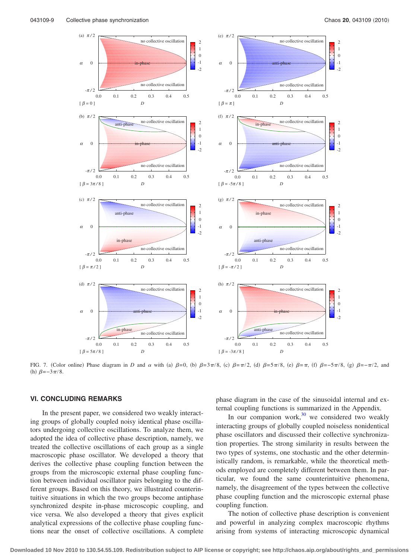<span id="page-8-0"></span>

FIG. 7. (Color online) Phase diagram in *D* and  $\alpha$  with (a)  $\beta = 0$ , (b)  $\beta = 3\pi/8$ , (c)  $\beta = \pi/2$ , (d)  $\beta = \pi/8$ , (e)  $\beta = \pi$ , (f)  $\beta = -\pi/8$ , (g)  $\beta = -\pi/2$ , and (h)  $\beta = -3\pi/8$ .

## **VI. CONCLUDING REMARKS**

In the present paper, we considered two weakly interacting groups of globally coupled noisy identical phase oscillators undergoing collective oscillations. To analyze them, we adopted the idea of collective phase description, namely, we treated the collective oscillations of each group as a single macroscopic phase oscillator. We developed a theory that derives the collective phase coupling function between the groups from the microscopic external phase coupling function between individual oscillator pairs belonging to the different groups. Based on this theory, we illustrated counterintuitive situations in which the two groups become antiphase synchronized despite in-phase microscopic coupling, and vice versa. We also developed a theory that gives explicit analytical expressions of the collective phase coupling functions near the onset of collective oscillations. A complete

phase diagram in the case of the sinusoidal internal and external coupling functions is summarized in the Appendix.

In our companion work, $30$  we considered two weakly interacting groups of globally coupled noiseless nonidentical phase oscillators and discussed their collective synchronization properties. The strong similarity in results between the two types of systems, one stochastic and the other deterministically random, is remarkable, while the theoretical methods employed are completely different between them. In particular, we found the same counterintuitive phenomena, namely, the disagreement of the types between the collective phase coupling function and the microscopic external phase coupling function.

The notion of collective phase description is convenient and powerful in analyzing complex macroscopic rhythms arising from systems of interacting microscopic dynamical